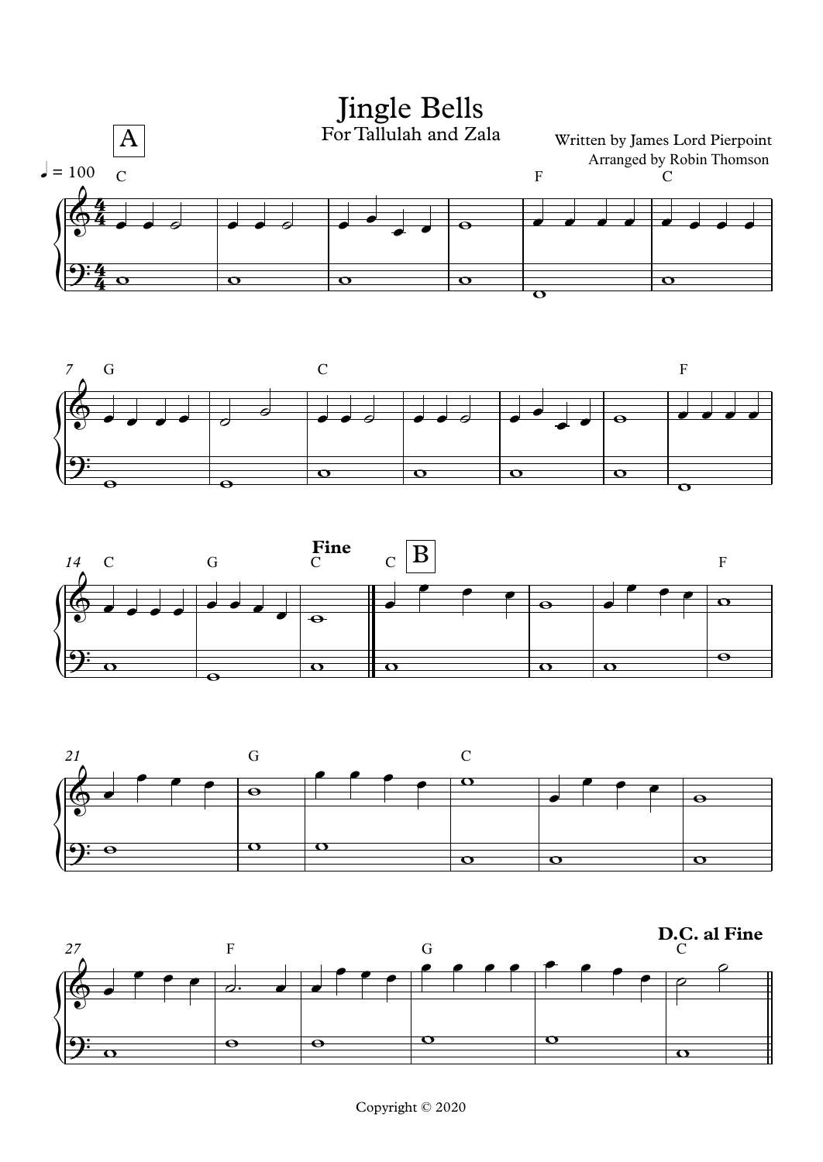